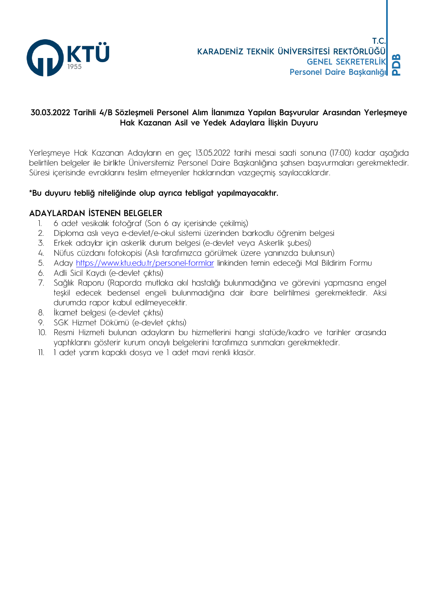

### 30.03.2022 Tarihli 4/B Sözleşmeli Personel Alım İlanımıza Yapılan Başvurular Arasından Yerleşmeye Hak Kazanan Asil ve Yedek Adaylara İlişkin Duyuru

Yerleşmeye Hak Kazanan Adayların en geç 13.05.2022 tarihi mesai saati sonuna (17:00) kadar aşağıda belirtilen belgeler ile birlikte Üniversitemiz Personel Daire Başkanlığına şahsen başvurmaları gerekmektedir. Süresi içerisinde evraklarını teslim etmeyenler haklarından vazgeçmiş sayılacaklardır.

### \*Bu duyuru tebliğ niteliğinde olup ayrıca tebligat yapılmayacaktır.

### ADAYLARDAN İSTENEN BELGELER

- 6 adet vesikalık fotoğraf (Son 6 ay içerisinde çekilmiş)  $\mathbf{L}$
- Diploma aslı veya e-devlet/e-okul sistemi üzerinden barkodlu öğrenim belgesi  $2.$
- 3. Erkek adaylar için askerlik durum belgesi (e-devlet veya Askerlik şubesi)
- 4. Nüfus cüzdanı fotokopisi (Aslı tarafımızca görülmek üzere yanınızda bulunsun)
- Aday https://www.ktu.edu.tr/personel-formlar linkinden temin edeceği Mal Bildirim Formu 5.
- 6. Adli Sicil Kaydı (e-devlet çıktısı)
- 7. Sağlık Raporu (Raporda mutlaka akıl hastalığı bulunmadığına ve görevini yapmasına engel teşkil edecek bedensel engeli bulunmadığına dair ibare belirtilmesi gerekmektedir. Aksi durumda rapor kabul edilmeyecektir.
- İkamet belgesi (e-devlet çıktısı) 8.
- 9. SGK Hizmet Dökümü (e-devlet çıktısı)
- 10. Resmi Hizmeti bulunan adayların bu hizmetlerini hangi statüde/kadro ve tarihler arasında yaptıklarını gösterir kurum onaylı belgelerini tarafımıza sunmaları gerekmektedir.
- 11. 1 adet yarım kapaklı dosya ve 1 adet mavi renkli klasör.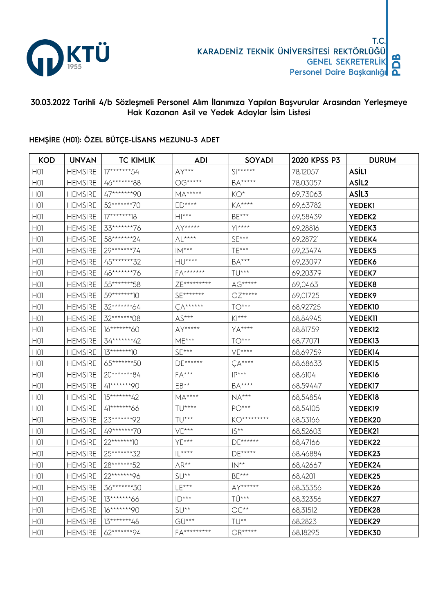

# 30.03.2022 Tarihli 4/b Sözleşmeli Personel Alım İlanımıza Yapılan Başvurular Arasından Yerleşmeye Hak Kazanan Asil ve Yedek Adaylar İsim Listesi

### HEMŞİRE (H01): ÖZEL BÜTÇE-LİSANS MEZUNU-3 ADET

| <b>KOD</b>       | <b>UNVAN</b>   | <b>TC KIMLIK</b> | ADI                                   | SOYADI                                                            | 2020 KPSS P3 | <b>DURUM</b>        |
|------------------|----------------|------------------|---------------------------------------|-------------------------------------------------------------------|--------------|---------------------|
| H <sub>O</sub>   | <b>HEMSIRE</b> | 17*******54      | $AY***$                               | $\mathsf{S} \ast\!\!\ast\!\!\ast\!\!\ast\!\!\ast\!\!\ast\!\!\ast$ | 78,12057     | <b>ASILI</b>        |
| H <sub>O</sub> I | <b>HEMSIRE</b> | 46*******88      | $\mathbb{OG}^{****}$                  | $BA***$                                                           | 78,03057     | ASIL <sub>2</sub>   |
| H <sub>O</sub>   | <b>HEMSIRE</b> | 47*******90      | $MA***$                               | $KO^*$                                                            | 69,73063     | ASIL3               |
| H <sub>O</sub>   | <b>HEMSIRE</b> | 52*******70      | $ED***$                               | $\mathsf{K}\mathsf{A}^{\star\star\star\star}$                     | 69,63782     | <b>YEDEK1</b>       |
| H <sub>O</sub>   | <b>HEMSIRE</b> | $17*****18$      | $H ***$                               | $BE***$                                                           | 69,58439     | YEDEK2              |
| H <sub>O</sub>   | <b>HEMSIRE</b> | 33*******76      | $AY****$                              | $Y$  ****                                                         | 69,28816     | YEDEK3              |
| H <sub>O</sub>   | <b>HEMSIRE</b> | 58*******24      | $\mathsf{AL}^{***}$                   | $SE***$                                                           | 69,28721     | YEDEK4              |
| H <sub>01</sub>  | <b>HEMSIRE</b> | 29*******74      | $\mathsf{IM}^{***}$                   | TE***                                                             | 69,23474     | YEDEK5              |
| H <sub>O</sub>   | <b>HEMSIRE</b> | 45********32     | $HU***$                               | $BA***$                                                           | 69,23097     | YEDEK6              |
| H <sub>O</sub>   | <b>HEMSIRE</b> | 48*******76      | FA*******                             | TU***                                                             | 69,20379     | YEDEK7              |
| H <sub>O</sub>   | <b>HEMSIRE</b> | 55********58     | ZE*********                           | $AG****$                                                          | 69,0463      | YEDEK8              |
| H <sub>O</sub>   | <b>HEMSIRE</b> | 59********10     | $SE******$                            | ÖZ*****                                                           | 69,01725     | YEDEK9              |
| H <sub>O</sub>   | <b>HEMSIRE</b> | 32*******64      | $\zeta A*****$                        | $TO***$                                                           | 68,92725     | YEDEK10             |
| H <sub>O</sub>   | <b>HEMSIRE</b> | 32*******08      | $AS***$                               | $K$  ***                                                          | 68,84945     | <b>YEDEKII</b>      |
| H <sub>O</sub>   | <b>HEMSIRE</b> | 16*******60      | AY*****                               | YA****                                                            | 68,81759     | YEDEK <sub>12</sub> |
| H <sub>O</sub>   | <b>HEMSIRE</b> | 34*******42      | $ME***$                               | $TO***$                                                           | 68,77071     | YEDEK <sub>13</sub> |
| H <sub>O</sub>   | <b>HEMSIRE</b> | $13******10$     | $SE***$                               | $VE***$                                                           | 68,69759     | YEDEK14             |
| H <sub>O</sub>   | <b>HEMSIRE</b> | 65*******50      | DE******                              | $CA***$                                                           | 68,68633     | YEDEK <sub>15</sub> |
| H <sub>O</sub>   | <b>HEMSIRE</b> | 20*******84      | $FA***$                               | $IP***$                                                           | 68,6104      | YEDEK16             |
| H <sub>O</sub>   | <b>HEMSIRE</b> | 41*******90      | EB**                                  | $BA***$                                                           | 68,59447     | YEDEK17             |
| H <sub>O</sub>   | <b>HEMSIRE</b> | 15*******42      | $\mathsf{MA}^{***}$                   | $NA***$                                                           | 68,54854     | YEDEK18             |
| H <sub>O</sub>   | <b>HEMSIRE</b> | 41********66     | $TU***$                               | $PO***$                                                           | 68,54105     | YEDEK19             |
| H <sub>O</sub>   | <b>HEMSIRE</b> | 23*******92      | $\mathsf{T}\mathsf{U}^{***}$          | KO*********                                                       | 68,53166     | YEDEK20             |
| H <sub>O</sub>   | <b>HEMSIRE</b> | 49*******70      | $VE***$                               | $IS**$                                                            | 68,52603     | YEDEK21             |
| H <sub>0</sub>   | <b>HEMSIRE</b> | $22******10$     | YE***                                 | $DE*****$                                                         | 68,47166     | YEDEK22             |
| H <sub>01</sub>  | <b>HEMSIRE</b> | 25********32     | $ {\mathsf L}^{\star\star\star\star}$ | $DE****$                                                          | 68,46884     | YEDEK23             |
| H <sub>O</sub>   | <b>HEMSIRE</b> | 28*******52      | $AR**$                                | $IN**$                                                            | 68,42667     | YEDEK24             |
| H <sub>O</sub>   | <b>HEMSIRE</b> | $22*****96$      | $SU**$                                | BE***                                                             | 68,4201      | YEDEK25             |
| H <sub>01</sub>  | <b>HEMSIRE</b> | 36*******30      | $LE***$                               | AY******                                                          | 68,35356     | YEDEK26             |
| H <sub>O</sub>   | <b>HEMSIRE</b> | 13*******66      | $ID***$                               | TÜ***                                                             | 68,32356     | YEDEK27             |
| H <sub>01</sub>  | <b>HEMSIRE</b> | 16*******90      | $SU**$                                | $\mathsf{OC^{**}}$                                                | 68,31512     | YEDEK28             |
| H <sub>01</sub>  | <b>HEMSIRE</b> | 13*******48      | GÜ***                                 | TU**                                                              | 68,2823      | YEDEK29             |
| H <sub>O</sub> I | <b>HEMSIRE</b> | 62*******94      | FA*********                           | $OR***$                                                           | 68,18295     | YEDEK30             |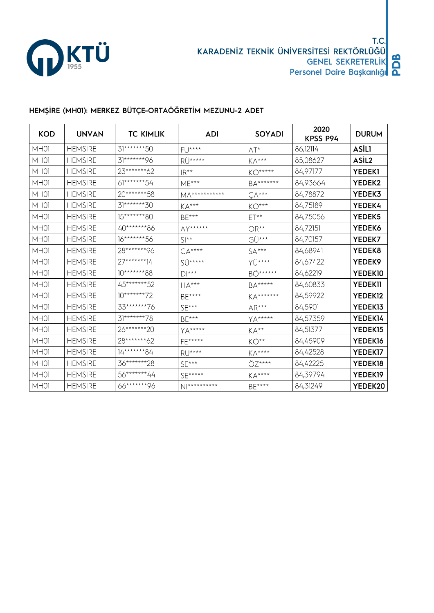

# HEMŞİRE (MH01): MERKEZ BÜTÇE-ORTAÖĞRETİM MEZUNU-2 ADET

| <b>KOD</b> | <b>UNVAN</b>   | <b>TC KIMLIK</b> | <b>ADI</b>                   | <b>SOYADI</b>                                 | 2020<br>KPSS P94 | <b>DURUM</b>   |
|------------|----------------|------------------|------------------------------|-----------------------------------------------|------------------|----------------|
| MH01       | <b>HEMSIRE</b> | 31*******50      | $FU***$                      | $AT^*$                                        | 86,12114         | <b>ASİLI</b>   |
| MH01       | <b>HEMSIRE</b> | 31*******96      | RÜ*****                      | $KA***$                                       | 85,08627         | ASİL2          |
| MH01       | <b>HEMSIRE</b> | 23*******62      | $IR***$                      | KÖ*****                                       | 84,97177         | YEDEK1         |
| MH01       | <b>HEMSIRE</b> | 61*******54      | $ME***$                      | BA*******                                     | 84,93664         | YEDEK2         |
| MH01       | <b>HEMSIRE</b> | 20*******58      | MA***********                | $CA***$                                       | 84,78872         | YEDEK3         |
| MH01       | <b>HEMSIRE</b> | 31*******30      | $KA***$                      | $KO***$                                       | 84,75189         | YEDEK4         |
| MH01       | <b>HEMSIRE</b> | 15*******80      | $BE***$                      | $ET**$                                        | 84,75056         | YEDEK5         |
| MH01       | <b>HEMSIRE</b> | 40*******86      | AY******                     | $OR**$                                        | 84,72151         | YEDEK6         |
| MH01       | <b>HEMSIRE</b> | 16*******56      | $SI**$                       | GÜ***                                         | 84,70157         | YEDEK7         |
| MH01       | <b>HEMSIRE</b> | 28*******96      | $CA***$                      | $SA***$                                       | 84,68941         | YEDEK8         |
| MH01       | <b>HEMSIRE</b> | 27*******14      | $SU***$                      | YÜ****                                        | 84,67422         | YEDEK9         |
| MH01       | <b>HEMSIRE</b> | $10******88$     | $\mathsf{D}\mathsf{I}^{***}$ | BÖ******                                      | 84,62219         | YEDEK10        |
| MH01       | <b>HEMSIRE</b> | 45*******52      | ${\sf HA}^{***}$             | BA*****                                       | 84,60833         | <b>YEDEKII</b> |
| MH01       | <b>HEMSIRE</b> | $10******72$     | $\mathsf{BE}^{***}$          | KA*******                                     | 84,59922         | YEDEK12        |
| MH01       | <b>HEMSIRE</b> | 33*******76      | $SE***$                      | $AR***$                                       | 84,5901          | YEDEK13        |
| MH01       | <b>HEMSIRE</b> | 31********78     | BE***                        | $YA****$                                      | 84,57359         | YEDEK14        |
| MH01       | <b>HEMSIRE</b> | 26*******20      | <b>YA****</b>                | $KA^{**}$                                     | 84,51377         | YEDEK15        |
| MH01       | <b>HEMSIRE</b> | 28*******62      | FE*****                      | KÖ**                                          | 84,45909         | YEDEK16        |
| MH01       | <b>HEMSIRE</b> | 14*******84      | $RU***$                      | $\mathsf{K}\mathsf{A}^{\star\star\star\star}$ | 84,42528         | YEDEK17        |
| MH01       | <b>HEMSIRE</b> | 36********28     | $SE***$                      | ÖZ****                                        | 84,42225         | YEDEK18        |
| MH01       | <b>HEMSIRE</b> | 56*******44      | $SE***$                      | $KA***$                                       | 84,39794         | YEDEK19        |
| MH01       | <b>HEMSIRE</b> | 66*******96      | $N$   * * * * * * * * * *    | BE****                                        | 84,31249         | YEDEK20        |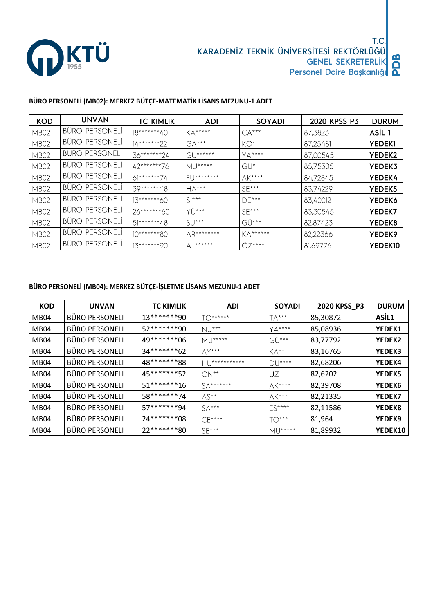

# **BÜRO PERSONELİ (MB02): MERKEZ BÜTÇE-MATEMATİK LİSANS MEZUNU-1 ADET**

| <b>KOD</b>       | <b>UNVAN</b>          | <b>TC KIMLIK</b> | <b>ADI</b>         | <b>SOYADI</b>  | 2020 KPSS P3 | <b>DURUM</b>  |
|------------------|-----------------------|------------------|--------------------|----------------|--------------|---------------|
| MB02             | BÜRO PERSONELİ        | 18*******40      | $KA***$            | $CA***$        | 87,3823      | ASIL 1        |
| <b>MB02</b>      | <b>BÜRO PERSONELI</b> | $14******22$     | $GA***$            | $KO^*$         | 87,25481     | <b>YEDEKI</b> |
| <b>MB02</b>      | <b>BÜRO PERSONELI</b> | 36*******24      | GÜ******           | $YA***$        | 87,00545     | <b>YEDEK2</b> |
| <b>MB02</b>      | BÜRO PERSONELI        | 42*******76      | $MU****$           | GÜ*            | 85,75305     | YEDEK3        |
| <b>MB02</b>      | BÜRO PERSONELİ        | $61******74$     | $F$ []********     | $AK***$        | 84,72845     | YEDEK4        |
| <b>MB02</b>      | <b>BÜRO PERSONELI</b> | 39*******18      | $HA***$            | $SF***$        | 83,74229     | YEDEK5        |
| MB <sub>02</sub> | BÜRO PERSONELI        | 13*******60      | $S$ <sup>***</sup> | $DE***$        | 83,40012     | YEDEK6        |
| MB <sub>02</sub> | BÜRO PERSONELI        | 26*******60      | $Y^{\prime}$       | $SF***$        | 83,30545     | YEDEK7        |
| <b>MB02</b>      | BÜRO PERSONELI        | 51*******48      | $SU***$            | $G\ddot{U}***$ | 82,87423     | YEDEK8        |
| <b>MB02</b>      | <b>BÜRO PERSONELI</b> | $10******80$     | AR********         | $KA***$        | 82,22366     | YEDEK9        |
| <b>MB02</b>      | BÜRO PERSONELİ        | $13****20$       | $AL*****$          | $OZ***$        | 81,69776     | YEDEK10       |

#### **BÜRO PERSONELİ (MB04): MERKEZ BÜTÇE-İŞLETME LİSANS MEZUNU-1 ADET**

| <b>KOD</b>       | <b>UNVAN</b>          | <b>TC KIMLIK</b> | <b>ADI</b>    | <b>SOYADI</b>          | 2020 KPSS_P3 | <b>DURUM</b>  |
|------------------|-----------------------|------------------|---------------|------------------------|--------------|---------------|
| MB04             | <b>BÜRO PERSONELI</b> | 13*******90      | $TO******$    | $TA***$                | 85,30872     | ASIL1         |
| MB04             | <b>BÜRO PERSONELI</b> | 52*******90      | $NU***$       | YA****                 | 85,08936     | <b>YEDEK1</b> |
| MB04             | <b>BÜRO PERSONELI</b> | 49*******06      | $MU^{****}$   | $G\ddot{U}***$         | 83,77792     | YEDEK2        |
| MB04             | <b>BÜRO PERSONELI</b> | $34******62$     | $AY***$       | $KA^{**}$              | 83,16765     | <b>YEDEK3</b> |
| MB04             | <b>BÜRO PERSONELI</b> | 48*******88      | HÜ*********** | $DU***$                | 82,68206     | YEDEK4        |
| MB <sub>04</sub> | <b>BÜRO PERSONELI</b> | 45*******52      | $ON**$        | UZ                     | 82,6202      | <b>YEDEK5</b> |
| MB04             | <b>BÜRO PERSONELI</b> | $51******16$     | $SA******$    | $AK***$                | 82,39708     | <b>YEDEK6</b> |
| MB04             | <b>BÜRO PERSONELI</b> | 58*******74      | $AS^{**}$     | $AK***$                | 82,21335     | <b>YEDEK7</b> |
| MB04             | <b>BÜRO PERSONELI</b> | 57*******94      | $SA***$       | $ES***$                | 82,11586     | YEDEK8        |
| MB04             | <b>BÜRO PERSONELI</b> | 24*******08      | $CF***$       | $TO***$                | 81,964       | YEDEK9        |
| MB04             | <b>BÜRO PERSONELI</b> | 22*******80      | $SF***$       | $M_{\rm H}$ $\mu$ **** | 81,89932     | YEDEK10       |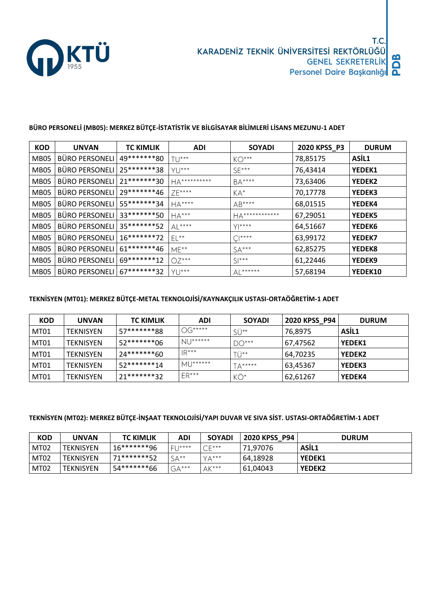

#### **BÜRO PERSONELİ (MB05): MERKEZ BÜTÇE-İSTATİSTİK VE BİLGİSAYAR BİLİMLERİ LİSANS MEZUNU-1 ADET**

| <b>KOD</b> | <b>UNVAN</b>          | <b>TC KIMLIK</b> | <b>ADI</b>   | <b>SOYADI</b>              | 2020 KPSS_P3 | <b>DURUM</b>  |
|------------|-----------------------|------------------|--------------|----------------------------|--------------|---------------|
| MB05       | <b>BÜRO PERSONELI</b> | 49*******80      | $T\cup$ ***  | $KO***$                    | 78,85175     | ASIL1         |
| MB05       | <b>BÜRO PERSONELI</b> | 25*******38      | $Y1$ ***     | $SE***$                    | 76,43414     | <b>YEDEK1</b> |
| MB05       | <b>BÜRO PERSONELI</b> | 21 ******* 30    | HA********** | BA****                     | 73,63406     | YEDEK2        |
| MB05       | <b>BÜRO PERSONELI</b> | 29*******46      | 7F****       | $KA^*$                     | 70,17778     | <b>YEDEK3</b> |
| MB05       | <b>BÜRO PERSONELI</b> | 55*******34      | $HA***$      | AB****                     | 68,01515     | YEDEK4        |
| MB05       | <b>BÜRO PERSONELI</b> | 33*******50      | $HA***$      | HA************             | 67,29051     | <b>YEDEK5</b> |
| MB05       | <b>BÜRO PERSONELI</b> | 35*******52      | $AL***$      | $Y$ ****                   | 64,51667     | <b>YEDEK6</b> |
| MB05       | <b>BÜRO PERSONELI</b> | $16******72$     | $EL**$       | $C^{\star\star\star\star}$ | 63,99172     | <b>YEDEK7</b> |
| MB05       | <b>BÜRO PERSONELI</b> | 61********46     | $ME***$      | $SA***$                    | 62,85275     | YEDEK8        |
| MB05       | <b>BÜRO PERSONELI</b> | 69********12     | $OZ***$      | $SI***$                    | 61,22446     | YEDEK9        |
| MB05       | <b>BÜRO PERSONELI</b> | 67*******32      | $Y1^{***}$   | $AL*****$                  | 57,68194     | YEDEK10       |

#### **TEKNİSYEN (MT01): MERKEZ BÜTÇE-METAL TEKNOLOJİSİ/KAYNAKÇILIK USTASI-ORTAÖĞRETİM-1 ADET**

| <b>KOD</b> | <b>UNVAN</b> | <b>TC KIMLIK</b> | <b>ADI</b>   | <b>SOYADI</b> | 2020 KPSS P94 | <b>DURUM</b>  |
|------------|--------------|------------------|--------------|---------------|---------------|---------------|
| MT01       | TEKNISYEN    | 57*******88      | $OG***$ **** | SÜ**          | 76,8975       | ASIL1         |
| MT01       | TEKNISYEN    | $52******06$     | $NU^{****}$  | $DO***$       | 67,47562      | <b>YEDEK1</b> |
| MT01       | TEKNISYEN    | 24*******60      | $IR***$      | i`i∗∗         | 64,70235      | <b>YEDEK2</b> |
| MT01       | TEKNISYEN    | $52******14$     | $MU^{****}$  | $TA****$      | 63,45367      | l YEDEK3      |
| MT01       | TEKNISYEN    | $71******32$     | $ER***$      | КÖ*           | 62,61267      | <b>YEDEK4</b> |

#### **TEKNİSYEN (MT02): MERKEZ BÜTÇE-İNŞAAT TEKNOLOJİSİ/YAPI DUVAR VE SIVA SİST. USTASI-ORTAÖĞRETİM-1 ADET**

| <b>KOD</b> | UNVAN            | <b>TC KIMLIK</b> | ADI             | <b>SOYADI</b> | 2020 KPSS P94 | <b>DURUM</b>  |
|------------|------------------|------------------|-----------------|---------------|---------------|---------------|
| MT02       | <b>TEKNISYEN</b> | 16*******96      | <b>LI 1****</b> | ∩E***         | 71,97076      | ASIL1         |
| MT02       | <b>TEKNISYEN</b> | 71********57     | $SA**$          | Y∆***         | 64.18928      | <b>YEDEK1</b> |
| MT02       | <b>TEKNISYEN</b> | 54*******66      | $GA***$         | AK***         | 61,04043      | <b>YEDEK2</b> |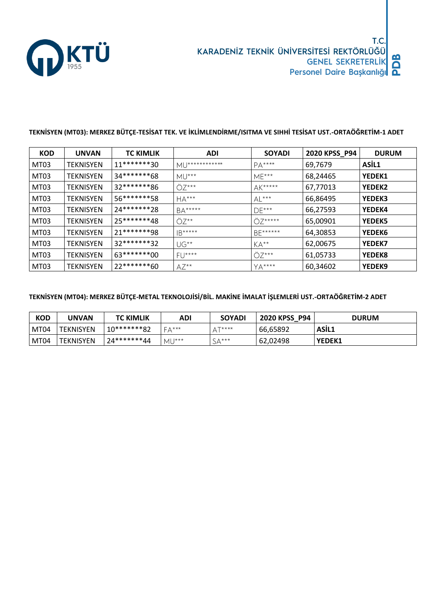

#### **TEKNİSYEN (MT03): MERKEZ BÜTÇE-TESİSAT TEK. VE İKLİMLENDİRME/ISITMA VE SIHHİ TESİSAT UST.-ORTAÖĞRETİM-1 ADET**

| <b>KOD</b> | <b>UNVAN</b>     | <b>TC KIMLIK</b> | <b>ADI</b>        | <b>SOYADI</b> | 2020 KPSS_P94 | <b>DURUM</b>  |
|------------|------------------|------------------|-------------------|---------------|---------------|---------------|
| MT03       | TEKNISYEN        | $11******30$     | MU************    | $PA***$       | 69,7679       | ASIL1         |
| MT03       | TEKNISYEN        | 34*******68      | $MU***$           | $ME***$       | 68,24465      | <b>YEDEK1</b> |
| MT03       | TEKNISYEN        | 32*******86      | $OZ***$           | $AK***$       | 67,77013      | <b>YEDEK2</b> |
| MT03       | TEKNISYEN        | 56*******58      | $HA***$           | $AL***$       | 66,86495      | <b>YEDEK3</b> |
| MT03       | TEKNISYEN        | 24*******28      | $BA****$          | $DE***$       | 66,27593      | <b>YEDEK4</b> |
| MT03       | TEKNISYEN        | 25*******48      | $O7**$            | $OZ***$       | 65,00901      | <b>YEDEK5</b> |
| MT03       | TEKNISYEN        | 21*******98      | $ B***** $        | BE******      | 64,30853      | <b>YEDEK6</b> |
| MT03       | TEKNISYEN        | 32*******32      | $\bigcup G^{**}$  | $KA^{**}$     | 62,00675      | <b>YEDEK7</b> |
| MT03       | <b>TEKNISYEN</b> | 63********00     | FU****            | $OZ***$       | 61,05733      | <b>YEDEK8</b> |
| MT03       | <b>TEKNISYEN</b> | 22*******60      | $AZ^{\star\star}$ | $YA***$       | 60,34602      | <b>YEDEK9</b> |

#### **TEKNİSYEN (MT04): MERKEZ BÜTÇE-METAL TEKNOLOJİSİ/BİL. MAKİNE İMALAT İŞLEMLERİ UST.-ORTAÖĞRETİM-2 ADET**

| <b>KOD</b> | UNVAN            | <b>TC KIMLIK</b> | ADI           | <b>SOYADI</b>       | <b>2020 KPSS</b><br>P94 | <b>DURUM</b>  |
|------------|------------------|------------------|---------------|---------------------|-------------------------|---------------|
| MT04       | <b>TEKNISYEN</b> | 10*******82      | <b>Γ∧</b> *** | $T***$ **           | 66,65892                | ASIL1         |
| MT04       | TEKNISYEN        | 24*******44      | MU***         | $\Lambda$ ***<br>ىر | 62,02498                | <b>YEDEK1</b> |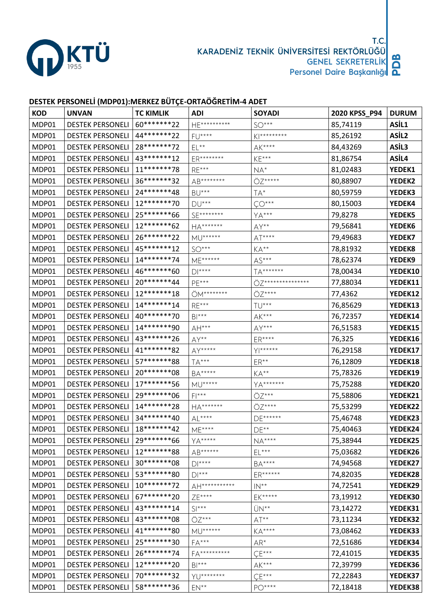

#### **DESTEK PERSONELİ (MDP01):MERKEZ BÜTÇE-ORTAÖĞRETİM-4 ADET**

| <b>KOD</b> | <b>UNVAN</b>            | <b>TC KIMLIK</b> | <b>ADI</b>                    | <b>SOYADI</b>                   | 2020 KPSS_P94 | <b>DURUM</b> |
|------------|-------------------------|------------------|-------------------------------|---------------------------------|---------------|--------------|
| MDP01      | <b>DESTEK PERSONELI</b> | 60********22     | HE**********                  | $SO***$                         | 85,74119      | ASİL1        |
| MDP01      | <b>DESTEK PERSONELI</b> | 44*******22      | FU****                        | $K$  *********                  | 85,26192      | ASİL2        |
| MDP01      | <b>DESTEK PERSONELI</b> | 28*******72      | $\mathsf{EL}^{\star\star}$    | $AK***$                         | 84,43269      | ASİL3        |
| MDP01      | <b>DESTEK PERSONELI</b> | 43*******12      | ER********                    | $KE***$                         | 81,86754      | ASİL4        |
| MDP01      | <b>DESTEK PERSONELI</b> | 11********78     | $RE***$                       | $NA^*$                          | 81,02483      | YEDEK1       |
| MDP01      | <b>DESTEK PERSONELI</b> | 36*******32      | AB********                    | ÖZ*****                         | 80,88907      | YEDEK2       |
| MDP01      | <b>DESTEK PERSONELI</b> | 24 ******* 48    | $\mathsf{BU}^{***}$           | TA*                             | 80,59759      | YEDEK3       |
| MDP01      | <b>DESTEK PERSONELI</b> | 12 ******* 70    | $DU***$                       | $\zeta O^{***}$                 | 80,15003      | YEDEK4       |
| MDP01      | <b>DESTEK PERSONELI</b> | 25*******66      | SE********                    | $YA***$                         | 79,8278       | YEDEK5       |
| MDP01      | <b>DESTEK PERSONELI</b> | 12*******62      | HA*******                     | $AY**$                          | 79,56841      | YEDEK6       |
| MDP01      | <b>DESTEK PERSONELI</b> | 26********22     | <b>MU******</b>               | $AT***$                         | 79,49683      | YEDEK7       |
| MDP01      | <b>DESTEK PERSONELI</b> | 45*******12      | $SO***$                       | $KA^{**}$                       | 78,81932      | YEDEK8       |
| MDP01      | <b>DESTEK PERSONELI</b> | 14*******74      | ME******                      | $AS***$                         | 78,62374      | YEDEK9       |
| MDP01      | <b>DESTEK PERSONELI</b> | 46*******60      | $D$  ****                     | TA*******                       | 78,00434      | YEDEK10      |
| MDP01      | <b>DESTEK PERSONELI</b> | 20*******44      | PE***                         | ÖZ***************               | 77,88034      | YEDEK11      |
| MDP01      | <b>DESTEK PERSONELI</b> | 12*******18      | ÖM********                    | ÖZ****                          | 77,4362       | YEDEK12      |
| MDP01      | <b>DESTEK PERSONELI</b> | 14*******14      | $RE***$                       | TU***                           | 76,85629      | YEDEK13      |
| MDP01      | <b>DESTEK PERSONELI</b> | 40********70     | $BI***$                       | $\mathsf{AK}^{\star\star\star}$ | 76,72357      | YEDEK14      |
| MDP01      | <b>DESTEK PERSONELI</b> | 14*******90      | $AH***$                       | $AY***$                         | 76,51583      | YEDEK15      |
| MDP01      | <b>DESTEK PERSONELI</b> | 43 ******** 26   | AY**                          | $ER***$                         | 76,325        | YEDEK16      |
| MDP01      | <b>DESTEK PERSONELI</b> | 41*******82      | AY*****                       | $Y *****$                       | 76,29158      | YEDEK17      |
| MDP01      | <b>DESTEK PERSONELI</b> | 57*******88      | $TA***$                       | $ER**$                          | 76,12809      | YEDEK18      |
| MDP01      | <b>DESTEK PERSONELI</b> | 20 ******** 08   | $\mathsf{BA}^{****}$          | KA**                            | 75,78326      | YEDEK19      |
| MDP01      | <b>DESTEK PERSONELI</b> | 17*******56      | $MU****$                      | YA*******                       | 75,75288      | YEDEK20      |
| MDP01      | <b>DESTEK PERSONELI</b> | 29 ******** 06   | $F$  ***                      | ÖZ***                           | 75,58806      | YEDEK21      |
| MDP01      | <b>DESTEK PERSONELI</b> | 14*******28      | HA*******                     | ÖZ****                          | 75,53299      | YEDEK22      |
| MDP01      | <b>DESTEK PERSONELI</b> | 34*******40      | $AL***$                       | DE******                        | 75,46748      | YEDEK23      |
| MDP01      | <b>DESTEK PERSONELI</b> | 18*******42      | ME****                        | $DE**$                          | 75,40463      | YEDEK24      |
| MDP01      | <b>DESTEK PERSONELI</b> | 29 ******* * 66  | YA*****                       | $\mathsf{NA}^{***}$             | 75,38944      | YEDEK25      |
| MDP01      | <b>DESTEK PERSONELI</b> | 12 ******* 88    | AB******                      | $EL***$                         | 75,03682      | YEDEK26      |
| MDP01      | <b>DESTEK PERSONELI</b> | 30********08     | $\mathsf{D}\mathsf{I}^{****}$ | $BA***$                         | 74,94568      | YEDEK27      |
| MDP01      | <b>DESTEK PERSONELI</b> | 53********80     | $\mathsf{D}\mathsf{l}^{***}$  | ER******                        | 74,82035      | YEDEK28      |
| MDP01      | <b>DESTEK PERSONELI</b> | 10*******72      | AH***********                 | $\mathsf{IN}^{**}$              | 74,72541      | YEDEK29      |
| MDP01      | <b>DESTEK PERSONELI</b> | 67*******20      | ZE****                        | EK*****                         | 73,19912      | YEDEK30      |
| MDP01      | <b>DESTEK PERSONELI</b> | 43********14     | $SI***$                       | ÜN**                            | 73,14272      | YEDEK31      |
| MDP01      | <b>DESTEK PERSONELI</b> | 43 ******** 08   | ÖZ***                         | $\mathsf{AT}^{\star\star}$      | 73,11234      | YEDEK32      |
| MDP01      | <b>DESTEK PERSONELI</b> | 41 ******* 80    | <b>MU******</b>               | $KA***$                         | 73,08462      | YEDEK33      |
| MDP01      | <b>DESTEK PERSONELI</b> | 25*******30      | $FA***$                       | $AR^*$                          | 72,51686      | YEDEK34      |
| MDP01      | <b>DESTEK PERSONELI</b> | 26*******74      | FA**********                  | $\zeta E***$                    | 72,41015      | YEDEK35      |
| MDP01      | <b>DESTEK PERSONELI</b> | 12*******20      | $BI***$                       | $AK***$                         | 72,39799      | YEDEK36      |
| MDP01      | <b>DESTEK PERSONELI</b> | 70*******32      | YU********                    | $\zeta E^{\star \star \star}$   | 72,22843      | YEDEK37      |
| MDP01      | <b>DESTEK PERSONELI</b> | 58*******36      | $EN**$                        | PO****                          | 72,18418      | YEDEK38      |